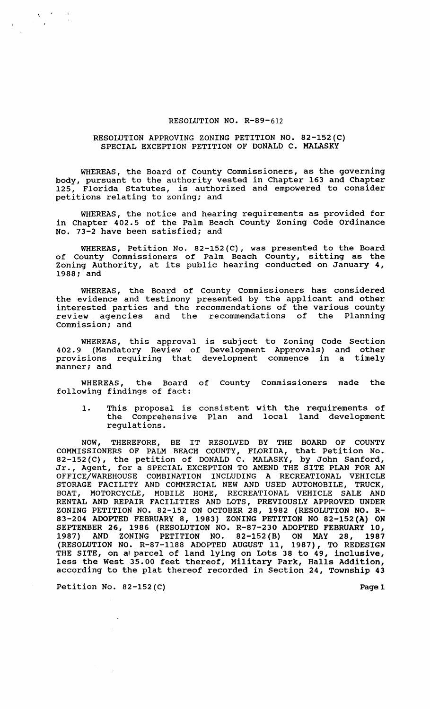## RESOLUTION NO. R-89-612

## RESOLUTION APPROVING ZONING PETITION NO. 82-152(C) SPECIAL EXCEPTION PETITION OF DONALD C. MALASKY

WHEREAS, the Board of County commissioners, as the governing body, pursuant to the authority vested in Chapter 163 and Chapter 125, Florida Statutes, is authorized and empowered to consider petitions relating to zoning: and

WHEREAS, the notice and hearing requirements as provided for in Chapter 402.5 of the Palm Beach County Zoning Code Ordinance No. 73-2 have been satisfied; and

WHEREAS, Petition No. 82-152(C) , was presented to the Board of County Commissioners of Palm Beach County, sitting as the Zoning Authority, at its public hearing conducted on January 4, 1988; and

WHEREAS, the Board of County Commissioners has considered the evidence and testimony presented by the applicant and other interested parties and the recommendations of the various county review agencies and the recommendations of the Planning commission; and

WHEREAS, this approval is subject to Zoning Code Section 402.9 (Mandatory Review of Development Approvals) and other provisions requiring that development commence in a timely manner: and

WHEREAS, the Board of County commissioners made the following findings of fact:

1. This proposal is consistent with the requirements of the Comprehensive Plan and local land development regulations.

NOW, THEREFORE, BE IT RESOLVED BY THE BOARD OF COUNTY COMMISSIONERS OF PALM BEACH COUNTY, FLORIDA, that Petition No. 82-152 (C), the petition of DONALD C. MALASKY, by John Sanford, 82-132(C), the petition of DONALD C. MALASKI, by John Sanford,<br>Jr., Agent, for a SPECIAL EXCEPTION TO AMEND THE SITE PLAN FOR AN OFFICE/WAREHOUSE COMBINATION INCLUDING A RECREATIONAL VEHICLE STORAGE FACILITY AND COMMERCIAL NEW AND USED AUTOMOBILE, TRUCK, BOAT, MOTORCYCLE, MOBILE HOME, RECREATIONAL VEHICLE SALE AND RENTAL AND REPAIR FACILITIES AND LOTS, PREVIOUSLY APPROVED UNDER ZONING PETITION NO. 82-152 ON OCTOBER 28, 1982 (RESOLUTION NO. R-83-204 ADOPTED FEBRUARY 8, 1983) ZONING PETITION NO 82-152(A) ON SEPTEMBER 26, 1986 (RESOLUTION NO. R-87-230 ADOPTED FEBRUARY 10, 1987) AND ZONING PETITION NO. 82-152(B) ON MAY 28, 1987 (RESOLUTION NO. R-87-1188 ADOPTED AUGUST 11, 1987), TO REDESIGN THE SITE, on a parcel of land lying on Lots 38 to 49, inclusive, less the West 35.00 feet thereof, Military Park, Halls Addition, according to the plat thereof recorded in Section 24, Township 43

'.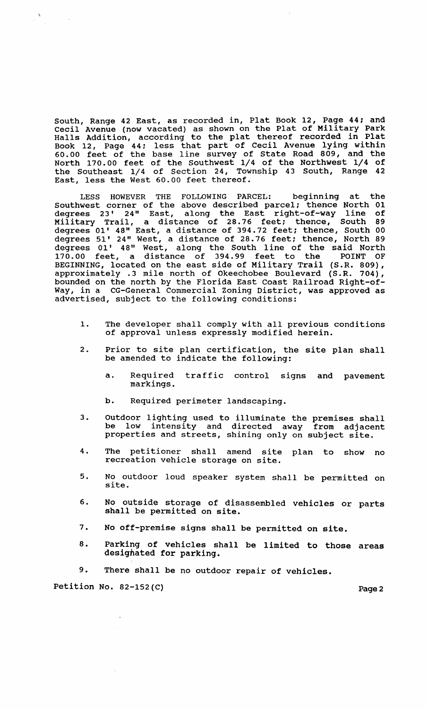South, Range 42 East, as recorded in, Plat Book 12, Page 44; and Cecil Avenue (now vacated) as shown on the Plat of Military Park Halls Addition, according to the plat thereof recorded in Plat Book 12, Page 44: less that part of Cecil Avenue lying within 60.00 feet of the base line survey of State Road 809, and the North 170.00 feet of the Southwest 1/4 of the Northwest 1/4 of the Southeast 1/4 of section 24, Township 43 South, Range 42 East, less the West 60.00 feet thereof.

LESS HOWEVER THE FOLLOWING PARCEL: beginning at the Southwest corner of the above described parcel; thence North 01 degrees 23' 24" East, along the East right-of-way line of Military Trail, a distance of 28.76 feet; thence, South 89 degrees 01' 48" East, a distance of 394.72 feet; thence, South 00 degrees 51' 24" West, a distance of 28.76 feet; thence, North 89 degrees 01' 48" West, along the South line of the said North 170.00 feet, a distance of 394.99 feet to the POINT OF BEGINNING, located on the east side of Military Trail (S.R. 809), approximately .3 mile north of Okeechobee Boulevard (S.R. 704), bounded on the north by the Florida East Coast Railroad Right-of-Way, in a CG-General Commercial Zoning District, was approved as advertised, subject to the following conditions:

- 1. The developer shall comply with all previous conditions of approval unless expressly modified herein.
- 2. Prior to site plan certification, the site plan shall be amended to indicate the following:
	- a. Required traffic control signs and pavement markings.
	- b. Required perimeter landscaping.
- 3. Outdoor lighting used to illuminate the premises shall intensity and directed away from adjacent properties and streets, shining only on subject site.
- 4. The petitioner shall amend site plan to show no recreation vehicle storage on site.
- 5. No outdoor loud speaker system shall be permitted on site.
- 6. No outside storage of disassembled vehicles or parts shall be permitted on site.
- 7. No off-premise signs shall be permitted on site.
- 8. Parking of vehicles shall be limited to those areas desighated for parking.
- 9. There shall be no outdoor repair of vehicles.

Petition No. 82-152(C) Page 2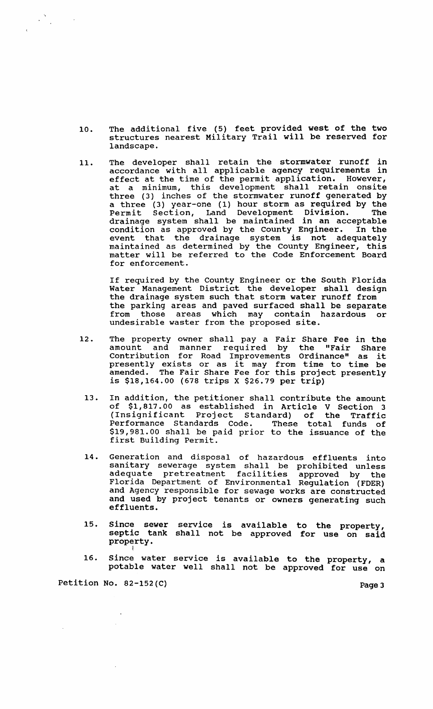- 10. The additional five (5) feet provided west of the two structures nearest Military Trail will be reserved for landscape.
- 11. The developer shall retain the stormwater runoff in accordance with all applicable agency requirements in effect at the time of the permit application. However, at a minimum, this development shall retain onsite three (3) inches of the stormwater runoff generated by a three (3) year-one (1) hour storm as required by the Permit section, Land Development Division. The drainage system shall be maintained in an acceptable<br>condition as approved by the County Engineer. In the condition as approved by the County Engineer. event that the drainage system is not adequately maintained as determined by the County Engineer, this matter will be referred to the Code Enforcement Board for enforcement.

If required by the County Engineer or the South Florida Water Management District the developer shall design the drainage system such that storm water runoff from the parking areas and paved surfaced shall be separate from those areas which may contain hazardous or undesirable waster from the proposed site.

- 12. The property owner shall pay a Fair Share Fee in the amount and manner required by the "Fair Share contribution for Road Improvements Ordinance" as it presently exists or as it may from time to time be amended. The Fair Share Fee for this project presently is \$18,164.00 (678 trips X \$26.79 per trip)
- 13. In addition, the petitioner shall contribute the amount of \$1,817.00 as established in Article V Section 3 (Insignificant Project Standard) of the Traffic Performance Standards Code. These total funds of \$19,981.00 shall be paid prior to the issuance of the first Building Permit.
- 14. Generation and disposal of hazardous effluents into sanitary sewerage system shall be prohibited unless adequate pretreatment facilities approved by the Florida Department of Environmental Regulation (FDER) and Agency responsible for sewage works are constructed and used by project tenants or owners generating such effluents.
- 15. Since sewer septic tank property. service is available shall not be approved to the property, for use on said
- 16. Since water service is available to the property, a potable water well shall not be approved for use on

Petition No. 82-152(C) Page 3

 $\label{eq:2} \frac{\partial \mathbf{x}}{\partial \mathbf{x}} = \frac{\partial \mathbf{x}}{\partial \mathbf{x}} = \frac{\partial \mathbf{x}}{\partial \mathbf{x}}$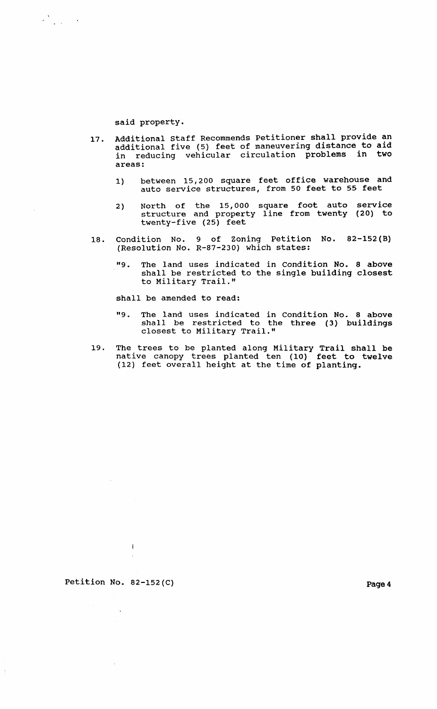said property.

 $\mathcal{L}_{\text{max}}^{\text{N}}$  , and  $\mathcal{L}_{\text{max}}$ 

- 17. Additional staff Recommends Petitioner shall provide an additional five (5) feet of maneuvering distance to aid in reducing vehicular circulation problems in two areas:
	- 1) between 15,200 square feet office warehouse and auto service structures, from 50 feet to 55 feet
	- 2) North of the 15,000 square foot auto service structure and property line from twenty (20) to twenty-five (25) feet
- 18. Condition No. 9 of Zoning Petition No. 82-152(B) (Resolution No. R-87-230) which states:
	- "9. The land uses indicated in Condition No. 8 above shall be restricted to the single building closest to Military Trail."

shall be amended to read:

- "9. The land uses indicated in Condition No. 8 above shall be restricted to the three (3) buildings closest to Military Trail."
- 19. The trees to be planted along Military Trail shall be native canopy trees planted ten (10) feet to twelve (12) feet overall height at the time of planting.

Petition No. 82-152(C) Page 4

 $\sim 10^{11}$ 

 $\sim$ 

Ŷ,

 $\mathbf{I}$